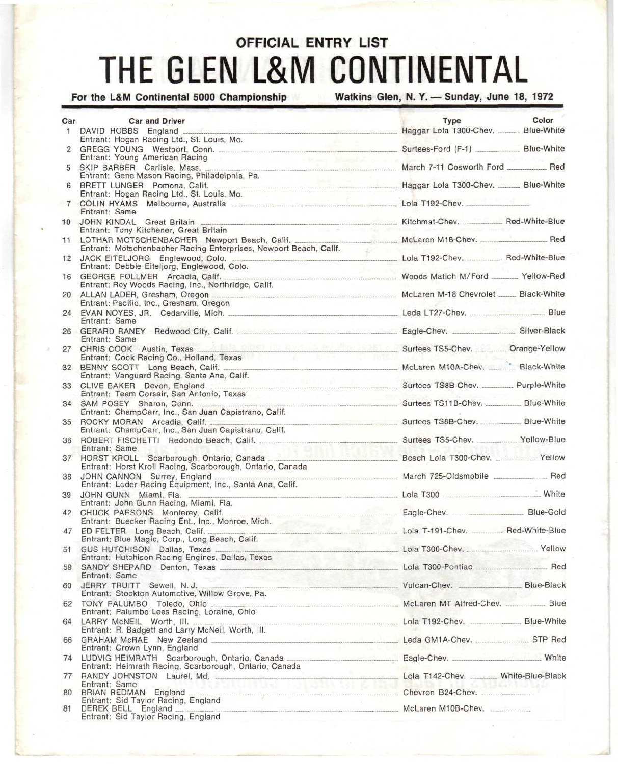## **OFFICIAL ENTRY LIST** THE GLEN L&M CONTINENTAL

## **For the L&M Continental 5000 Championship Watkins Glen, N. Y. — Sunday, June 18, 1972**

| Car | <b>Car and Driver</b>                                                                                                                                                                             | Color<br>Type |
|-----|---------------------------------------------------------------------------------------------------------------------------------------------------------------------------------------------------|---------------|
|     | Entrant: Hogan Racing Ltd., St. Louis, Mo.                                                                                                                                                        |               |
|     |                                                                                                                                                                                                   |               |
|     | Entrant: Gene Mason Racing, Philadelphia, Pa.                                                                                                                                                     |               |
|     | 6 BRETT LUNGER Pomona, Calif.<br>Entrant: Hogan Racing Ltd., St. Louis, Mo.                                                                                                                       |               |
|     |                                                                                                                                                                                                   |               |
|     | Entrant: Same<br>10 JOHN KINDAL Great Britain <b>Commission Commission Commission</b> Kitchmat-Chev. Red-White-Blue                                                                               |               |
|     | Entrant: Tony Kitchener, Great Britain<br>11 LOTHAR MOTSCHENBACHER Newport Beach, Calif. ____________________________ McLaren M18-Chev. ______________________ Red                                |               |
|     | Entrant: Motschenbacher Racing Enterprises, Newport Beach, Calif.                                                                                                                                 |               |
|     | Entrant: Debbie Eiteljorg, Englewood, Colo.                                                                                                                                                       |               |
|     | Entrant: Roy Woods Racing, Inc., Northridge, Calif.<br>20 ALLAN LADER, Gresham, Oregon <b>Manufacture and Strategie and Strategie and Strategie and Alland</b> , Black-White                      |               |
|     | Entrant: Pacifio, Inc., Gresham, Oregon                                                                                                                                                           |               |
|     | Entrant: Same                                                                                                                                                                                     |               |
|     | Entrant: Same                                                                                                                                                                                     |               |
|     | Entrant: Cook Racing Co., Holland, Texas                                                                                                                                                          |               |
|     | Entrant: Vanguard Racing, Santa Ana, Calif.                                                                                                                                                       |               |
|     | Entrant: Team Corsair, San Antonio, Texas                                                                                                                                                         |               |
|     | 34 SAM POSEY Sharon, Conn.<br>Entrant: ChampCarr, Inc., San Juan Capistrano, Calif.                                                                                                               |               |
|     | 35 ROCKY MORAN Arcadia, Calif. 2008. 2010 Surtees TS8B-Chev. 2011 Blue-White<br>Entrant: ChampCarr, Inc., San Juan Capistrano, Calif.                                                             |               |
| 36  | Entrant: Same                                                                                                                                                                                     |               |
| 37  | Entrant: Horst Kroll Racing, Scarborough, Ontario, Canada                                                                                                                                         |               |
|     | Entrant: Loder Racing Équipment, Inc., Santa Ana, Calif.                                                                                                                                          |               |
| 39  | JOHN GUNN Miami, Fla. White<br>Entrant: John Gunn Racing, Miami, Fla.                                                                                                                             |               |
|     |                                                                                                                                                                                                   |               |
|     |                                                                                                                                                                                                   |               |
|     | Entrant: Blue Magic, Corp., Long Beach, Calif.                                                                                                                                                    |               |
| 59  |                                                                                                                                                                                                   |               |
| 60  | Entrant: Same                                                                                                                                                                                     |               |
| 62  | Entrant: Stockton Automotive, Willow Grove, Pa.<br>TONY PALUMBO Toledo, Ohio <b>Change and Changes Container and McLaren MT Alfred-Chev.</b> 500 Blue Entrant: Palumbo Lees Racing, Loraine, Ohio |               |
|     |                                                                                                                                                                                                   |               |
| 66  | Entrant: R. Badgett and Larry McNeil, Worth, III.<br>GRAHAM McRAE New Zealand <b>Construction Construction</b> Leda GM1A-Chev. STP Red                                                            |               |
|     | Entrant: Crown Lynn, England                                                                                                                                                                      |               |
|     | Entrant: Heimrath Racing, Scarborough, Ontario, Canada                                                                                                                                            |               |
|     | Example JOHNSTON Laurel, Md. 2008 Chevron B24-Chev. 2008 T142-Chev. 2008 Mite-Blue-Black<br>BO BRIAN REDMAN England<br>BEHAN REDMAN England                                                       |               |
|     | Entrant: Sid Taylor Racing, England                                                                                                                                                               |               |
|     | 81 DEREK BELL England Contract Contract Music McLaren M10B-Chev.<br>Entrant: Sid Taylor Racing, England                                                                                           |               |